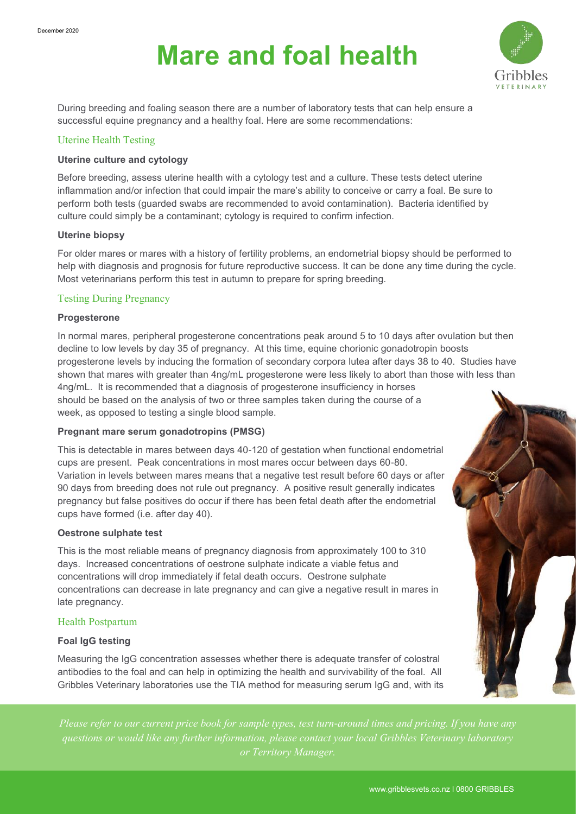# **Mare and foal health**



During breeding and foaling season there are a number of laboratory tests that can help ensure a successful equine pregnancy and a healthy foal. Here are some recommendations:

# Uterine Health Testing

## **Uterine culture and cytology**

Before breeding, assess uterine health with a cytology test and a culture. These tests detect uterine inflammation and/or infection that could impair the mare's ability to conceive or carry a foal. Be sure to perform both tests (guarded swabs are recommended to avoid contamination). Bacteria identified by culture could simply be a contaminant; cytology is required to confirm infection.

## **Uterine biopsy**

For older mares or mares with a history of fertility problems, an endometrial biopsy should be performed to help with diagnosis and prognosis for future reproductive success. It can be done any time during the cycle. Most veterinarians perform this test in autumn to prepare for spring breeding.

## Testing During Pregnancy

#### **Progesterone**

In normal mares, peripheral progesterone concentrations peak around 5 to 10 days after ovulation but then decline to low levels by day 35 of pregnancy. At this time, equine chorionic gonadotropin boosts progesterone levels by inducing the formation of secondary corpora lutea after days 38 to 40. Studies have shown that mares with greater than 4ng/mL progesterone were less likely to abort than those with less than 4ng/mL. It is recommended that a diagnosis of progesterone insufficiency in horses should be based on the analysis of two or three samples taken during the course of a week, as opposed to testing a single blood sample.

## **Pregnant mare serum gonadotropins (PMSG)**

This is detectable in mares between days 40-120 of gestation when functional endometrial cups are present. Peak concentrations in most mares occur between days 60-80. Variation in levels between mares means that a negative test result before 60 days or after 90 days from breeding does not rule out pregnancy. A positive result generally indicates pregnancy but false positives do occur if there has been fetal death after the endometrial cups have formed (i.e. after day 40).

## **Oestrone sulphate test**

This is the most reliable means of pregnancy diagnosis from approximately 100 to 310 days. Increased concentrations of oestrone sulphate indicate a viable fetus and concentrations will drop immediately if fetal death occurs. Oestrone sulphate concentrations can decrease in late pregnancy and can give a negative result in mares in late pregnancy.

## Health Postpartum

## **Foal IgG testing**

Measuring the IgG concentration assesses whether there is adequate transfer of colostral antibodies to the foal and can help in optimizing the health and survivability of the foal. All Gribbles Veterinary laboratories use the TIA method for measuring serum IgG and, with its